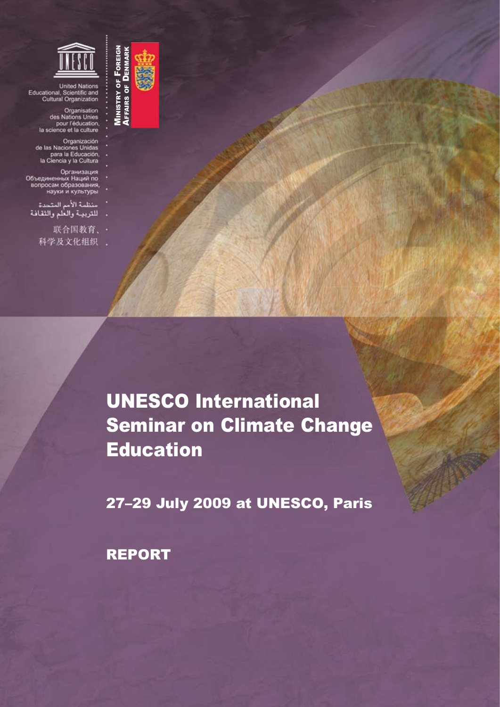

minisTry of foreign AFFAIRS OF DENMARK

Ministry of Foreign<br>Affairs of Denmark

United Nations<br>Educational, Scientific and<br>Cultural Organization

Organisation<br>des Nations Unies<br>pour l'éducation,<br>la science et la culture

Organización<br>de las Naciones Unidas<br>para la Educación,<br>la Ciencia y la Cultura

Организация<br>Объединенных Наций по<br>вопросам образования,<br>науки и культуры

منظمة الأمم المتحدة<br>للتربيــة والعلم والثقـافـة

联合国教育、· 科学及文化组织 .

> UNESCO International Seminar on Climate Change Education

> 27–29 July 2009 at UNESCO, Paris

REPORT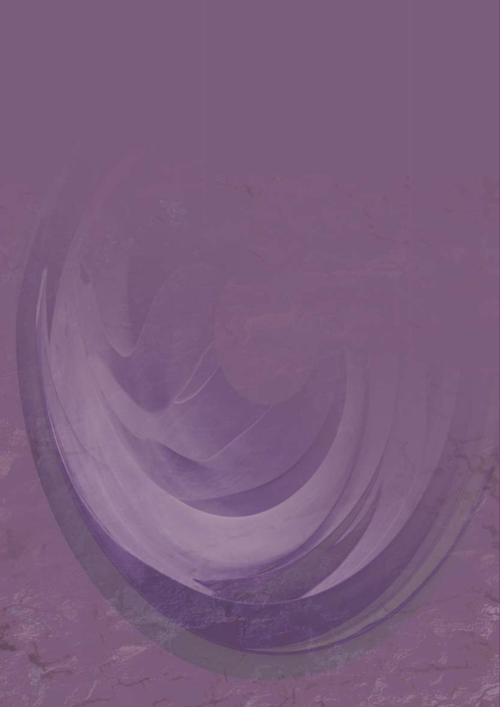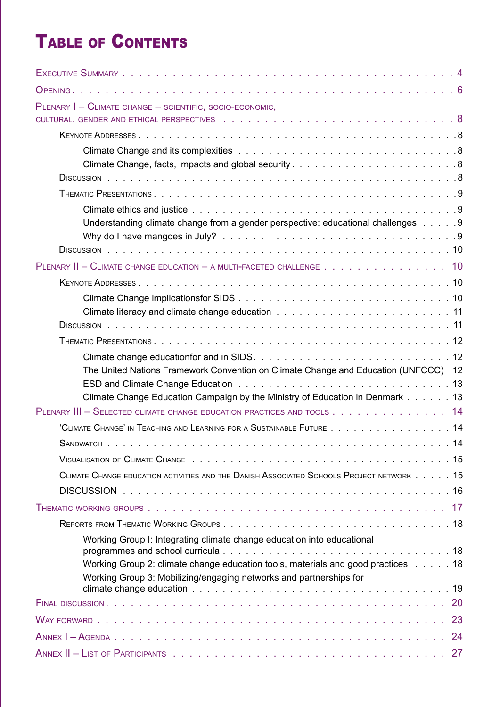# Table of Contents

| PLENARY I - CLIMATE CHANGE - SCIENTIFIC, SOCIO-ECONOMIC,                                                                                               |
|--------------------------------------------------------------------------------------------------------------------------------------------------------|
|                                                                                                                                                        |
|                                                                                                                                                        |
|                                                                                                                                                        |
|                                                                                                                                                        |
|                                                                                                                                                        |
| Understanding climate change from a gender perspective: educational challenges 9                                                                       |
|                                                                                                                                                        |
|                                                                                                                                                        |
| PLENARY II - CLIMATE CHANGE EDUCATION - A MULTI-FACETED CHALLENGE 10                                                                                   |
|                                                                                                                                                        |
|                                                                                                                                                        |
|                                                                                                                                                        |
|                                                                                                                                                        |
|                                                                                                                                                        |
| The United Nations Framework Convention on Climate Change and Education (UNFCCC) 12                                                                    |
| Climate Change Education Campaign by the Ministry of Education in Denmark 13                                                                           |
| PLENARY III - SELECTED CLIMATE CHANGE EDUCATION PRACTICES AND TOOLS 14                                                                                 |
| 'CLIMATE CHANGE' IN TEACHING AND LEARNING FOR A SUSTAINABLE FUTURE 14                                                                                  |
|                                                                                                                                                        |
|                                                                                                                                                        |
| CLIMATE CHANGE EDUCATION ACTIVITIES AND THE DANISH ASSOCIATED SCHOOLS PROJECT NETWORK 15                                                               |
|                                                                                                                                                        |
|                                                                                                                                                        |
|                                                                                                                                                        |
| Working Group I: Integrating climate change education into educational                                                                                 |
| Working Group 2: climate change education tools, materials and good practices 18<br>Working Group 3: Mobilizing/engaging networks and partnerships for |
|                                                                                                                                                        |
|                                                                                                                                                        |
|                                                                                                                                                        |
|                                                                                                                                                        |
|                                                                                                                                                        |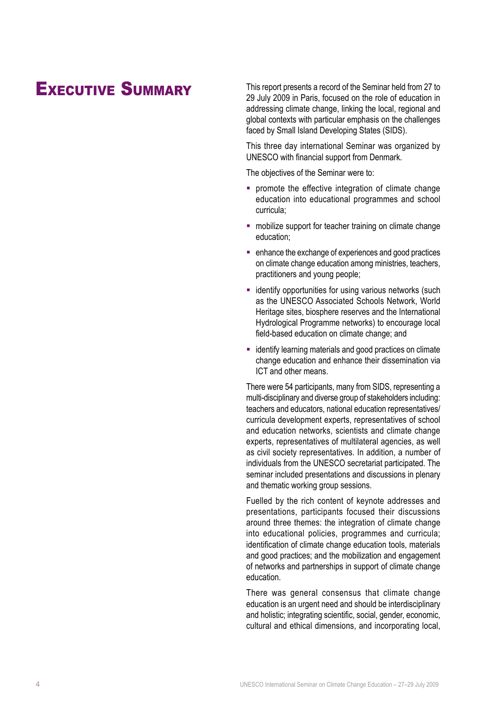EXECUTIVE SUMMARY This report presents a record of the Seminar held from 27 to 29 July 2009 in Paris, focused on the role of education in addressing climate change, linking the local, regional and global contexts with particular emphasis on the challenges faced by Small Island Developing States (SIDS).

> This three day international Seminar was organized by UNESCO with financial support from Denmark.

The objectives of the Seminar were to:

- **•** promote the effective integration of climate change education into educational programmes and school curricula;
- mobilize support for teacher training on climate change education;
- enhance the exchange of experiences and good practices on climate change education among ministries, teachers, practitioners and young people;
- **EXTERCH identify opportunities for using various networks (such identify** as the UNESCO Associated Schools Network, World Heritage sites, biosphere reserves and the International Hydrological Programme networks) to encourage local field-based education on climate change; and
- **EXTER identify learning materials and good practices on climate** change education and enhance their dissemination via ICT and other means.

There were 54 participants, many from SIDS, representing a multi-disciplinary and diverse group of stakeholders including: teachers and educators, national education representatives/ curricula development experts, representatives of school and education networks, scientists and climate change experts, representatives of multilateral agencies, as well as civil society representatives. In addition, a number of individuals from the UNESCO secretariat participated. The seminar included presentations and discussions in plenary and thematic working group sessions.

Fuelled by the rich content of keynote addresses and presentations, participants focused their discussions around three themes: the integration of climate change into educational policies, programmes and curricula; identification of climate change education tools, materials and good practices; and the mobilization and engagement of networks and partnerships in support of climate change education.

There was general consensus that climate change education is an urgent need and should be interdisciplinary and holistic; integrating scientific, social, gender, economic, cultural and ethical dimensions, and incorporating local,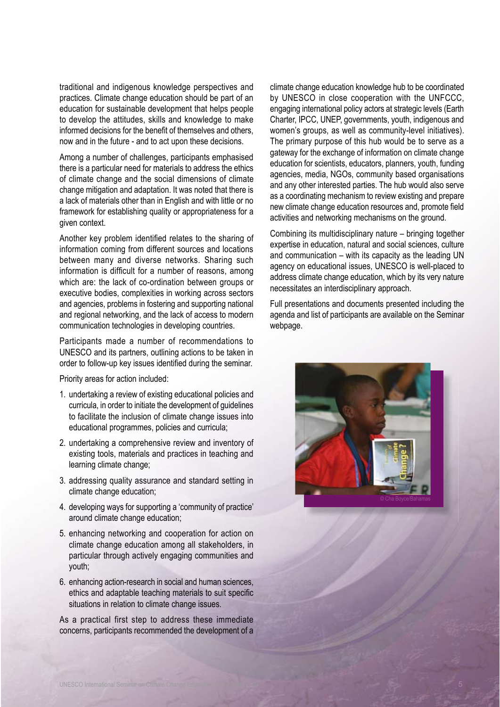traditional and indigenous knowledge perspectives and practices. Climate change education should be part of an education for sustainable development that helps people to develop the attitudes, skills and knowledge to make informed decisions for the benefit of themselves and others. now and in the future - and to act upon these decisions.

Among a number of challenges, participants emphasised there is a particular need for materials to address the ethics of climate change and the social dimensions of climate change mitigation and adaptation. It was noted that there is a lack of materials other than in English and with little or no framework for establishing quality or appropriateness for a given context.

Another key problem identified relates to the sharing of information coming from different sources and locations between many and diverse networks. Sharing such information is difficult for a number of reasons, among which are: the lack of co-ordination between groups or executive bodies, complexities in working across sectors and agencies, problems in fostering and supporting national and regional networking, and the lack of access to modern communication technologies in developing countries.

Participants made a number of recommendations to UNESCO and its partners, outlining actions to be taken in order to follow-up key issues identified during the seminar.

Priority areas for action included:

- 1. undertaking a review of existing educational policies and curricula, in order to initiate the development of guidelines to facilitate the inclusion of climate change issues into educational programmes, policies and curricula;
- 2. undertaking a comprehensive review and inventory of existing tools, materials and practices in teaching and learning climate change;
- 3. addressing quality assurance and standard setting in climate change education;
- 4. developing ways for supporting a 'community of practice' around climate change education;
- 5. enhancing networking and cooperation for action on climate change education among all stakeholders, in particular through actively engaging communities and youth;
- 6. enhancing action-research in social and human sciences, ethics and adaptable teaching materials to suit specific situations in relation to climate change issues.

As a practical first step to address these immediate concerns, participants recommended the development of a climate change education knowledge hub to be coordinated by UNESCO in close cooperation with the UNFCCC, engaging international policy actors at strategic levels (Earth Charter, IPCC, UNEP, governments, youth, indigenous and women's groups, as well as community-level initiatives). The primary purpose of this hub would be to serve as a gateway for the exchange of information on climate change education for scientists, educators, planners, youth, funding agencies, media, NGOs, community based organisations and any other interested parties. The hub would also serve as a coordinating mechanism to review existing and prepare new climate change education resources and, promote field activities and networking mechanisms on the ground.

Combining its multidisciplinary nature – bringing together expertise in education, natural and social sciences, culture and communication – with its capacity as the leading UN agency on educational issues, UNESCO is well-placed to address climate change education, which by its very nature necessitates an interdisciplinary approach.

Full presentations and documents presented including the agenda and list of participants are available on the Seminar webpage.

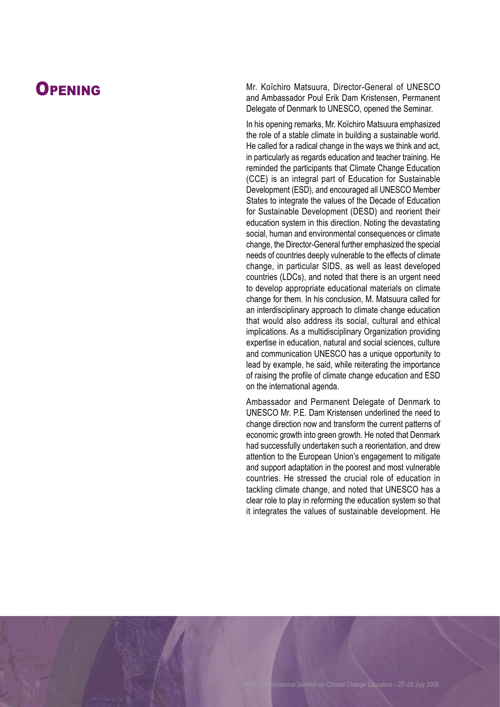OPENING Mr. Koïchiro Matsuura, Director-General of UNESCO and Ambassador Poul Erik Dam Kristensen, Permanent Delegate of Denmark to UNESCO, opened the Seminar.

> In his opening remarks, Mr. Koïchiro Matsuura emphasized the role of a stable climate in building a sustainable world. He called for a radical change in the ways we think and act, in particularly as regards education and teacher training. He reminded the participants that Climate Change Education (CCE) is an integral part of Education for Sustainable Development (ESD), and encouraged all UNESCO Member States to integrate the values of the Decade of Education for Sustainable Development (DESD) and reorient their education system in this direction. Noting the devastating social, human and environmental consequences or climate change, the Director-General further emphasized the special needs of countries deeply vulnerable to the effects of climate change, in particular SIDS, as well as least developed countries (LDCs), and noted that there is an urgent need to develop appropriate educational materials on climate change for them. In his conclusion, M. Matsuura called for an interdisciplinary approach to climate change education that would also address its social, cultural and ethical implications. As a multidisciplinary Organization providing expertise in education, natural and social sciences, culture and communication UNESCO has a unique opportunity to lead by example, he said, while reiterating the importance of raising the profile of climate change education and ESD on the international agenda.

> Ambassador and Permanent Delegate of Denmark to UNESCO Mr. P.E. Dam Kristensen underlined the need to change direction now and transform the current patterns of economic growth into green growth. He noted that Denmark had successfully undertaken such a reorientation, and drew attention to the European Union's engagement to mitigate and support adaptation in the poorest and most vulnerable countries. He stressed the crucial role of education in tackling climate change, and noted that UNESCO has a clear role to play in reforming the education system so that it integrates the values of sustainable development. He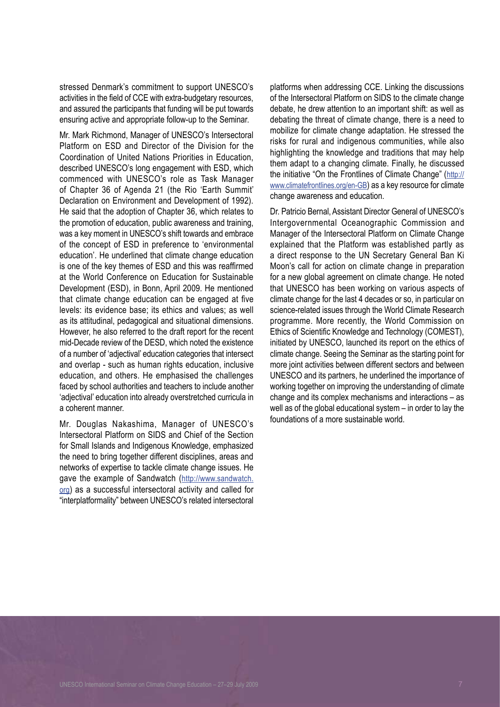stressed Denmark's commitment to support UNESCO's activities in the field of CCE with extra-budgetary resources, and assured the participants that funding will be put towards ensuring active and appropriate follow-up to the Seminar.

Mr. Mark Richmond, Manager of UNESCO's Intersectoral Platform on ESD and Director of the Division for the Coordination of United Nations Priorities in Education, described UNESCO's long engagement with ESD, which commenced with UNESCO's role as Task Manager of Chapter 36 of Agenda 21 (the Rio 'Earth Summit' Declaration on Environment and Development of 1992). He said that the adoption of Chapter 36, which relates to the promotion of education, public awareness and training, was a key moment in UNESCO's shift towards and embrace of the concept of ESD in preference to 'environmental education'. He underlined that climate change education is one of the key themes of ESD and this was reaffirmed at the World Conference on Education for Sustainable Development (ESD), in Bonn, April 2009. He mentioned that climate change education can be engaged at five levels: its evidence base; its ethics and values; as well as its attitudinal, pedagogical and situational dimensions. However, he also referred to the draft report for the recent mid-Decade review of the DESD, which noted the existence of a number of 'adjectival' education categories that intersect and overlap - such as human rights education, inclusive education, and others. He emphasised the challenges faced by school authorities and teachers to include another 'adjectival' education into already overstretched curricula in a coherent manner.

Mr. Douglas Nakashima, Manager of UNESCO's Intersectoral Platform on SIDS and Chief of the Section for Small Islands and Indigenous Knowledge, emphasized the need to bring together different disciplines, areas and networks of expertise to tackle climate change issues. He gave the example of Sandwatch (http://www.sandwatch. org) as a successful intersectoral activity and called for "interplatformality" between UNESCO's related intersectoral platforms when addressing CCE. Linking the discussions of the Intersectoral Platform on SIDS to the climate change debate, he drew attention to an important shift: as well as debating the threat of climate change, there is a need to mobilize for climate change adaptation. He stressed the risks for rural and indigenous communities, while also highlighting the knowledge and traditions that may help them adapt to a changing climate. Finally, he discussed the initiative "On the Frontlines of Climate Change" (http:// www.climatefrontlines.org/en-GB) as a key resource for climate change awareness and education.

Dr. Patricio Bernal, Assistant Director General of UNESCO's Intergovernmental Oceanographic Commission and Manager of the Intersectoral Platform on Climate Change explained that the Platform was established partly as a direct response to the UN Secretary General Ban Ki Moon's call for action on climate change in preparation for a new global agreement on climate change. He noted that UNESCO has been working on various aspects of climate change for the last 4 decades or so, in particular on science-related issues through the World Climate Research programme. More recently, the World Commission on Ethics of Scientific Knowledge and Technology (COMEST), initiated by UNESCO, launched its report on the ethics of climate change. Seeing the Seminar as the starting point for more joint activities between different sectors and between UNESCO and its partners, he underlined the importance of working together on improving the understanding of climate change and its complex mechanisms and interactions – as well as of the global educational system – in order to lay the foundations of a more sustainable world.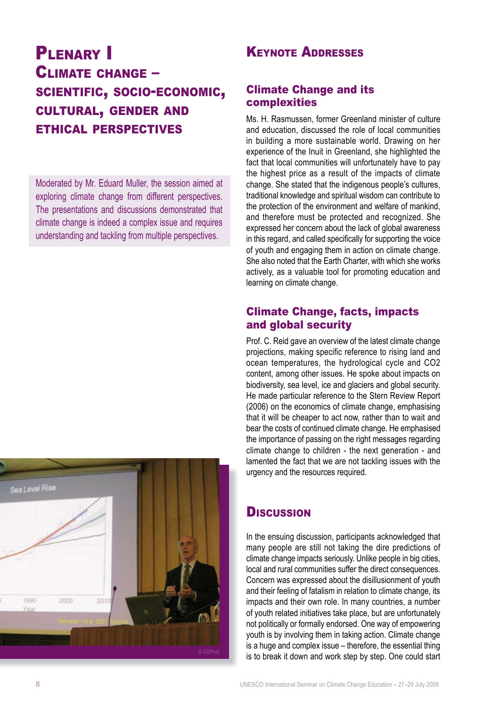# PLENARY I ClimaTe Change – sCienTifiC, soCio-eConomiC, CulTural, gender and eThiCal PersPeCTives

Moderated by Mr. Eduard Muller, the session aimed at exploring climate change from different perspectives. The presentations and discussions demonstrated that climate change is indeed a complex issue and requires understanding and tackling from multiple perspectives.



### **KEYNOTE ADDRESSES**

#### Climate Change and its complexities

Ms. H. Rasmussen, former Greenland minister of culture and education, discussed the role of local communities in building a more sustainable world. Drawing on her experience of the Inuit in Greenland, she highlighted the fact that local communities will unfortunately have to pay the highest price as a result of the impacts of climate change. She stated that the indigenous people's cultures, traditional knowledge and spiritual wisdom can contribute to the protection of the environment and welfare of mankind, and therefore must be protected and recognized. She expressed her concern about the lack of global awareness in this regard, and called specifically for supporting the voice of youth and engaging them in action on climate change. She also noted that the Earth Charter, with which she works actively, as a valuable tool for promoting education and learning on climate change.

#### Climate Change, facts, impacts and global security

Prof. C. Reid gave an overview of the latest climate change projections, making specific reference to rising land and ocean temperatures, the hydrological cycle and CO2 content, among other issues. He spoke about impacts on biodiversity, sea level, ice and glaciers and global security. He made particular reference to the Stern Review Report (2006) on the economics of climate change, emphasising that it will be cheaper to act now, rather than to wait and bear the costs of continued climate change. He emphasised the importance of passing on the right messages regarding climate change to children - the next generation - and lamented the fact that we are not tackling issues with the urgency and the resources required.

## **Discussion**

In the ensuing discussion, participants acknowledged that many people are still not taking the dire predictions of climate change impacts seriously. Unlike people in big cities, local and rural communities suffer the direct consequences. Concern was expressed about the disillusionment of youth and their feeling of fatalism in relation to climate change, its impacts and their own role. In many countries, a number of youth related initiatives take place, but are unfortunately not politically or formally endorsed. One way of empowering youth is by involving them in taking action. Climate change is a huge and complex issue – therefore, the essential thing is to break it down and work step by step. One could start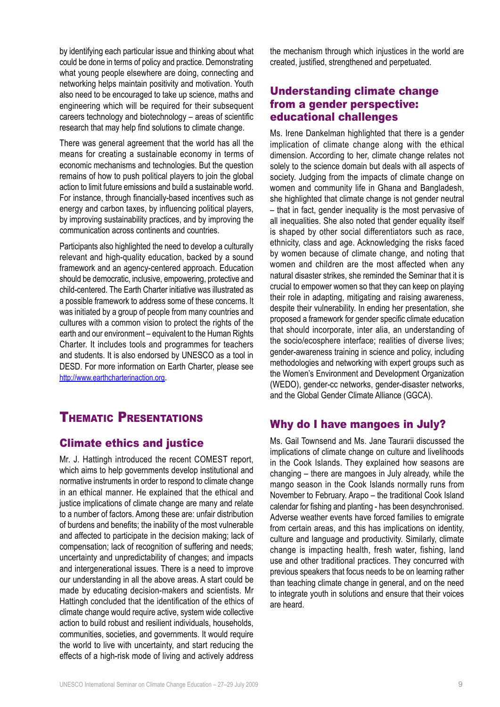by identifying each particular issue and thinking about what could be done in terms of policy and practice. Demonstrating what young people elsewhere are doing, connecting and networking helps maintain positivity and motivation. Youth also need to be encouraged to take up science, maths and engineering which will be required for their subsequent careers technology and biotechnology – areas of scientific research that may help find solutions to climate change.

There was general agreement that the world has all the means for creating a sustainable economy in terms of economic mechanisms and technologies. But the question remains of how to push political players to join the global action to limit future emissions and build a sustainable world. For instance, through financially-based incentives such as energy and carbon taxes, by influencing political players, by improving sustainability practices, and by improving the communication across continents and countries.

Participants also highlighted the need to develop a culturally relevant and high-quality education, backed by a sound framework and an agency-centered approach. Education should be democratic, inclusive, empowering, protective and child-centered. The Earth Charter initiative was illustrated as a possible framework to address some of these concerns. It was initiated by a group of people from many countries and cultures with a common vision to protect the rights of the earth and our environment – equivalent to the Human Rights Charter. It includes tools and programmes for teachers and students. It is also endorsed by UNESCO as a tool in DESD. For more information on Earth Charter, please see http://www.earthcharterinaction.org.

## Thematic Presentations

#### Climate ethics and justice

Mr. J. Hattingh introduced the recent COMEST report, which aims to help governments develop institutional and normative instruments in order to respond to climate change in an ethical manner. He explained that the ethical and justice implications of climate change are many and relate to a number of factors. Among these are: unfair distribution of burdens and benefits; the inability of the most vulnerable and affected to participate in the decision making; lack of compensation; lack of recognition of suffering and needs; uncertainty and unpredictability of changes; and impacts and intergenerational issues. There is a need to improve our understanding in all the above areas. A start could be made by educating decision-makers and scientists. Mr Hattingh concluded that the identification of the ethics of climate change would require active, system wide collective action to build robust and resilient individuals, households, communities, societies, and governments. It would require the world to live with uncertainty, and start reducing the effects of a high-risk mode of living and actively address

the mechanism through which injustices in the world are created, justified, strengthened and perpetuated.

#### Understanding climate change from a gender perspective: educational challenges

Ms. Irene Dankelman highlighted that there is a gender implication of climate change along with the ethical dimension. According to her, climate change relates not solely to the science domain but deals with all aspects of society. Judging from the impacts of climate change on women and community life in Ghana and Bangladesh, she highlighted that climate change is not gender neutral – that in fact, gender inequality is the most pervasive of all inequalities. She also noted that gender equality itself is shaped by other social differentiators such as race, ethnicity, class and age. Acknowledging the risks faced by women because of climate change, and noting that women and children are the most affected when any natural disaster strikes, she reminded the Seminar that it is crucial to empower women so that they can keep on playing their role in adapting, mitigating and raising awareness, despite their vulnerability. In ending her presentation, she proposed a framework for gender specific climate education that should incorporate, inter alia, an understanding of the socio/ecosphere interface; realities of diverse lives; gender-awareness training in science and policy, including methodologies and networking with expert groups such as the Women's Environment and Development Organization (WEDO), gender-cc networks, gender-disaster networks, and the Global Gender Climate Alliance (GGCA).

#### Why do I have mangoes in July?

Ms. Gail Townsend and Ms. Jane Taurarii discussed the implications of climate change on culture and livelihoods in the Cook Islands. They explained how seasons are changing – there are mangoes in July already, while the mango season in the Cook Islands normally runs from November to February. Arapo – the traditional Cook Island calendar for fishing and planting - has been desynchronised. Adverse weather events have forced families to emigrate from certain areas, and this has implications on identity, culture and language and productivity. Similarly, climate change is impacting health, fresh water, fishing, land use and other traditional practices. They concurred with previous speakers that focus needs to be on learning rather than teaching climate change in general, and on the need to integrate youth in solutions and ensure that their voices are heard.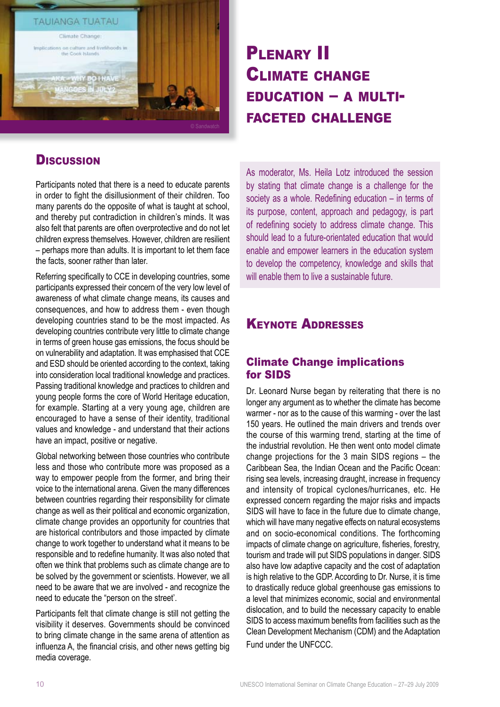

## **Discussion**

Participants noted that there is a need to educate parents in order to fight the disillusionment of their children. Too many parents do the opposite of what is taught at school, and thereby put contradiction in children's minds. It was also felt that parents are often overprotective and do not let children express themselves. However, children are resilient – perhaps more than adults. It is important to let them face the facts, sooner rather than later.

Referring specifically to CCE in developing countries, some participants expressed their concern of the very low level of awareness of what climate change means, its causes and consequences, and how to address them - even though developing countries stand to be the most impacted. As developing countries contribute very little to climate change in terms of green house gas emissions, the focus should be on vulnerability and adaptation. It was emphasised that CCE and ESD should be oriented according to the context, taking into consideration local traditional knowledge and practices. Passing traditional knowledge and practices to children and young people forms the core of World Heritage education, for example. Starting at a very young age, children are encouraged to have a sense of their identity, traditional values and knowledge - and understand that their actions have an impact, positive or negative.

Global networking between those countries who contribute less and those who contribute more was proposed as a way to empower people from the former, and bring their voice to the international arena. Given the many differences between countries regarding their responsibility for climate change as well as their political and economic organization, climate change provides an opportunity for countries that are historical contributors and those impacted by climate change to work together to understand what it means to be responsible and to redefine humanity. It was also noted that often we think that problems such as climate change are to be solved by the government or scientists. However, we all need to be aware that we are involved - and recognize the need to educate the "person on the street'.

Participants felt that climate change is still not getting the visibility it deserves. Governments should be convinced to bring climate change in the same arena of attention as influenza A, the financial crisis, and other news getting big media coverage.

# **PLENARY II** ClimaTe Change eduCaTion – a mulTifaCeTed Challenge

As moderator, Ms. Heila Lotz introduced the session by stating that climate change is a challenge for the society as a whole. Redefining education  $-$  in terms of its purpose, content, approach and pedagogy, is part of redefining society to address climate change. This should lead to a future-orientated education that would enable and empower learners in the education system to develop the competency, knowledge and skills that will enable them to live a sustainable future.

## **KEYNOTE ADDRESSES**

#### Climate Change implications for SIDS

Dr. Leonard Nurse began by reiterating that there is no longer any argument as to whether the climate has become warmer - nor as to the cause of this warming - over the last 150 years. He outlined the main drivers and trends over the course of this warming trend, starting at the time of the industrial revolution. He then went onto model climate change projections for the 3 main SIDS regions – the Caribbean Sea, the Indian Ocean and the Pacific Ocean: rising sea levels, increasing draught, increase in frequency and intensity of tropical cyclones/hurricanes, etc. He expressed concern regarding the major risks and impacts SIDS will have to face in the future due to climate change, which will have many negative effects on natural ecosystems and on socio-economical conditions. The forthcoming impacts of climate change on agriculture, fisheries, forestry, tourism and trade will put SIDS populations in danger. SIDS also have low adaptive capacity and the cost of adaptation is high relative to the GDP. According to Dr. Nurse, it is time to drastically reduce global greenhouse gas emissions to a level that minimizes economic, social and environmental dislocation, and to build the necessary capacity to enable SIDS to access maximum benefits from facilities such as the Clean Development Mechanism (CDM) and the Adaptation Fund under the UNFCCC.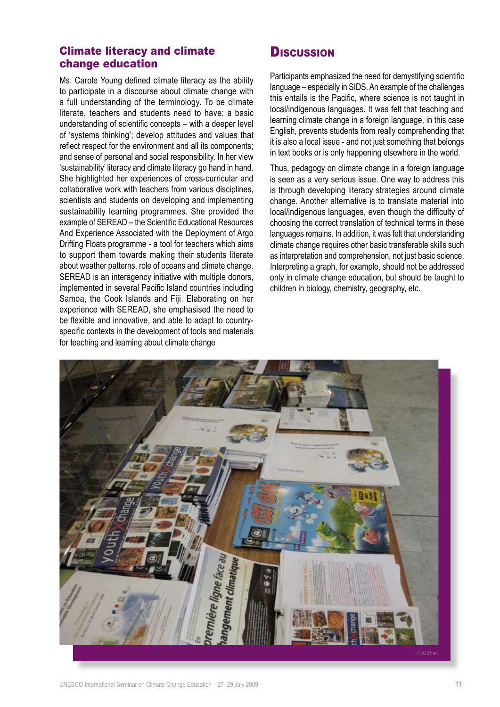#### Climate literacy and climate change education

Ms. Carole Young defined climate literacy as the ability to participate in a discourse about climate change with a full understanding of the terminology. To be climate literate, teachers and students need to have: a basic understanding of scientific concepts – with a deeper level of 'systems thinking'; develop attitudes and values that reflect respect for the environment and all its components; and sense of personal and social responsibility. In her view 'sustainability' literacy and climate literacy go hand in hand. She highlighted her experiences of cross-curricular and collaborative work with teachers from various disciplines, scientists and students on developing and implementing sustainability learning programmes. She provided the example of SEREAD – the Scientific Educational Resources And Experience Associated with the Deployment of Argo Drifting Floats programme - a tool for teachers which aims to support them towards making their students literate about weather patterns, role of oceans and climate change. SEREAD is an interagency initiative with multiple donors, implemented in several Pacific Island countries including Samoa, the Cook Islands and Fiji. Elaborating on her experience with SEREAD, she emphasised the need to be flexible and innovative, and able to adapt to countryspecific contexts in the development of tools and materials for teaching and learning about climate change

## **Discussion**

Participants emphasized the need for demystifying scientific language – especially in SIDS. An example of the challenges this entails is the Pacific, where science is not taught in local/indigenous languages. It was felt that teaching and learning climate change in a foreign language, in this case English, prevents students from really comprehending that it is also a local issue - and not just something that belongs in text books or is only happening elsewhere in the world.

Thus, pedagogy on climate change in a foreign language is seen as a very serious issue. One way to address this is through developing literacy strategies around climate change. Another alternative is to translate material into local/indigenous languages, even though the difficulty of choosing the correct translation of technical terms in these languages remains. In addition, it was felt that understanding climate change requires other basic transferable skills such as interpretation and comprehension, not just basic science. Interpreting a graph, for example, should not be addressed only in climate change education, but should be taught to children in biology, chemistry, geography, etc.

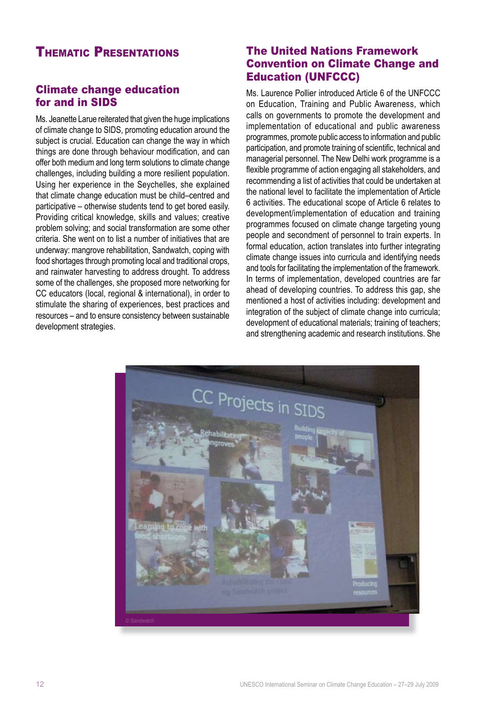## **THEMATIC PRESENTATIONS**

#### Climate change education for and in SIDS

Ms. Jeanette Larue reiterated that given the huge implications of climate change to SIDS, promoting education around the subject is crucial. Education can change the way in which things are done through behaviour modification, and can offer both medium and long term solutions to climate change challenges, including building a more resilient population. Using her experience in the Seychelles, she explained that climate change education must be child–centred and participative – otherwise students tend to get bored easily. Providing critical knowledge, skills and values; creative problem solving; and social transformation are some other criteria. She went on to list a number of initiatives that are underway: mangrove rehabilitation, Sandwatch, coping with food shortages through promoting local and traditional crops, and rainwater harvesting to address drought. To address some of the challenges, she proposed more networking for CC educators (local, regional & international), in order to stimulate the sharing of experiences, best practices and resources – and to ensure consistency between sustainable development strategies.

#### The United Nations Framework Convention on Climate Change and Education (UNFCCC)

Ms. Laurence Pollier introduced Article 6 of the UNFCCC on Education, Training and Public Awareness, which calls on governments to promote the development and implementation of educational and public awareness programmes, promote public access to information and public participation, and promote training of scientific, technical and managerial personnel. The New Delhi work programme is a flexible programme of action engaging all stakeholders, and recommending a list of activities that could be undertaken at the national level to facilitate the implementation of Article 6 activities. The educational scope of Article 6 relates to development/implementation of education and training programmes focused on climate change targeting young people and secondment of personnel to train experts. In formal education, action translates into further integrating climate change issues into curricula and identifying needs and tools for facilitating the implementation of the framework. In terms of implementation, developed countries are far ahead of developing countries. To address this gap, she mentioned a host of activities including: development and integration of the subject of climate change into curricula; development of educational materials; training of teachers; and strengthening academic and research institutions. She

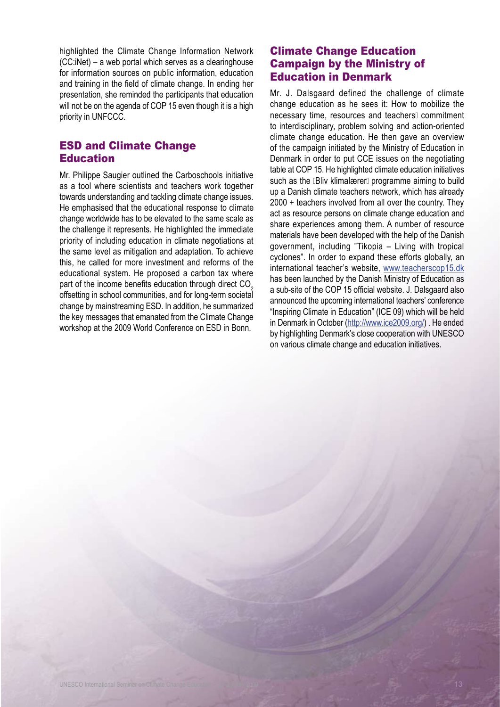highlighted the Climate Change Information Network (CC:iNet) – a web portal which serves as a clearinghouse for information sources on public information, education and training in the field of climate change. In ending her presentation, she reminded the participants that education will not be on the agenda of COP 15 even though it is a high priority in UNFCCC.

#### ESD and Climate Change **Education**

Mr. Philippe Saugier outlined the Carboschools initiative as a tool where scientists and teachers work together towards understanding and tackling climate change issues. He emphasised that the educational response to climate change worldwide has to be elevated to the same scale as the challenge it represents. He highlighted the immediate priority of including education in climate negotiations at the same level as mitigation and adaptation. To achieve this, he called for more investment and reforms of the educational system. He proposed a carbon tax where part of the income benefits education through direct CO<sub>2</sub> offsetting in school communities, and for long-term societal change by mainstreaming ESD. In addition, he summarized the key messages that emanated from the Climate Change workshop at the 2009 World Conference on ESD in Bonn.

#### Climate Change Education Campaign by the Ministry of Education in Denmark

Mr. J. Dalsgaard defined the challenge of climate change education as he sees it: How to mobilize the necessary time, resources and teachers<sup>n</sup> commitment to interdisciplinary, problem solving and action-oriented climate change education. He then gave an overview of the campaign initiated by the Ministry of Education in Denmark in order to put CCE issues on the negotiating table at COP 15. He highlighted climate education initiatives such as the **Bliv klimalærer** programme aiming to build up a Danish climate teachers network, which has already 2000 + teachers involved from all over the country. They act as resource persons on climate change education and share experiences among them. A number of resource materials have been developed with the help of the Danish government, including "Tikopia – Living with tropical cyclones". In order to expand these efforts globally, an international teacher's website, www.teacherscop15.dk has been launched by the Danish Ministry of Education as a sub-site of the COP 15 official website. J. Dalsgaard also announced the upcoming international teachers' conference "Inspiring Climate in Education" (ICE 09) which will be held in Denmark in October (http://www.ice2009.org/) . He ended by highlighting Denmark's close cooperation with UNESCO on various climate change and education initiatives.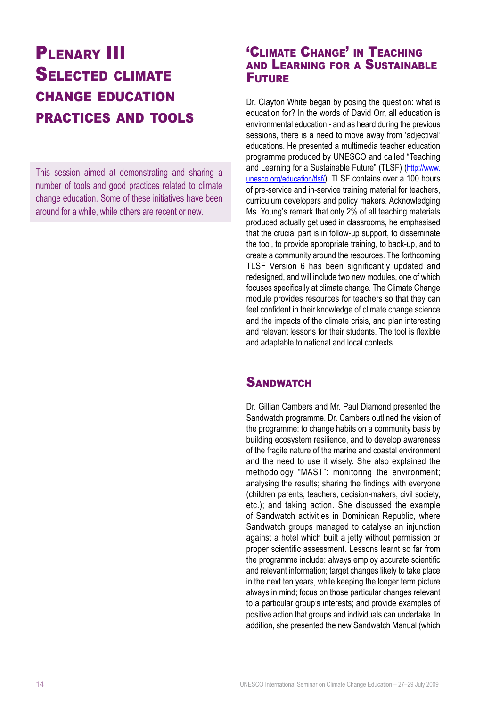# PLENARY **III** Selected climate change education practices and tools

This session aimed at demonstrating and sharing a number of tools and good practices related to climate change education. Some of these initiatives have been around for a while, while others are recent or new.

#### 'Climate Change' in Teaching and Learning for <sup>a</sup> Sustainable Future

Dr. Clayton White began by posing the question: what is education for? In the words of David Orr, all education is environmental education - and as heard during the previous sessions, there is a need to move away from 'adjectival' educations. He presented a multimedia teacher education programme produced by UNESCO and called "Teaching and Learning for a Sustainable Future" (TLSF) (http://www. unesco.org/education/tlsf/). TLSF contains over a 100 hours of pre-service and in-service training material for teachers, curriculum developers and policy makers. Acknowledging Ms. Young's remark that only 2% of all teaching materials produced actually get used in classrooms, he emphasised that the crucial part is in follow-up support, to disseminate the tool, to provide appropriate training, to back-up, and to create a community around the resources. The forthcoming TLSF Version 6 has been significantly updated and redesigned, and will include two new modules, one of which focuses specifically at climate change. The Climate Change module provides resources for teachers so that they can feel confident in their knowledge of climate change science and the impacts of the climate crisis, and plan interesting and relevant lessons for their students. The tool is flexible and adaptable to national and local contexts.

### **SANDWATCH**

Dr. Gillian Cambers and Mr. Paul Diamond presented the Sandwatch programme. Dr. Cambers outlined the vision of the programme: to change habits on a community basis by building ecosystem resilience, and to develop awareness of the fragile nature of the marine and coastal environment and the need to use it wisely. She also explained the methodology "MAST": monitoring the environment; analysing the results; sharing the findings with everyone (children parents, teachers, decision-makers, civil society, etc.); and taking action. She discussed the example of Sandwatch activities in Dominican Republic, where Sandwatch groups managed to catalyse an injunction against a hotel which built a jetty without permission or proper scientific assessment. Lessons learnt so far from the programme include: always employ accurate scientific and relevant information; target changes likely to take place in the next ten years, while keeping the longer term picture always in mind; focus on those particular changes relevant to a particular group's interests; and provide examples of positive action that groups and individuals can undertake. In addition, she presented the new Sandwatch Manual (which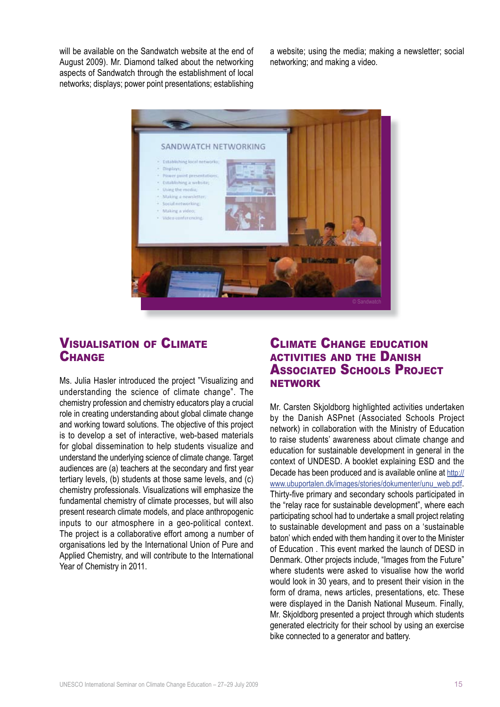will be available on the Sandwatch website at the end of August 2009). Mr. Diamond talked about the networking aspects of Sandwatch through the establishment of local networks; displays; power point presentations; establishing a website; using the media; making a newsletter; social networking; and making a video.



#### **VISUALISATION OF CLIMATE CHANGE**

Ms. Julia Hasler introduced the project "Visualizing and understanding the science of climate change". The chemistry profession and chemistry educators play a crucial role in creating understanding about global climate change and working toward solutions. The objective of this project is to develop a set of interactive, web-based materials for global dissemination to help students visualize and understand the underlying science of climate change. Target audiences are (a) teachers at the secondary and first year tertiary levels, (b) students at those same levels, and (c) chemistry professionals. Visualizations will emphasize the fundamental chemistry of climate processes, but will also present research climate models, and place anthropogenic inputs to our atmosphere in a geo-political context. The project is a collaborative effort among a number of organisations led by the International Union of Pure and Applied Chemistry, and will contribute to the International Year of Chemistry in 2011.

#### **CLIMATE CHANGE EDUCATION ACTIVITIES AND THE DANISH ASSOCIATED SCHOOLS PROJECT NETWORK**

Mr. Carsten Skjoldborg highlighted activities undertaken by the Danish ASPnet (Associated Schools Project network) in collaboration with the Ministry of Education to raise students' awareness about climate change and education for sustainable development in general in the context of UNDESD. A booklet explaining ESD and the Decade has been produced and is available online at http:// www.ubuportalen.dk/images/stories/dokumenter/unu\_web.pdf. Thirty-five primary and secondary schools participated in the "relay race for sustainable development", where each participating school had to undertake a small project relating to sustainable development and pass on a 'sustainable baton' which ended with them handing it over to the Minister of Education . This event marked the launch of DESD in Denmark. Other projects include, "Images from the Future" where students were asked to visualise how the world would look in 30 years, and to present their vision in the form of drama, news articles, presentations, etc. These were displayed in the Danish National Museum. Finally, Mr. Skjoldborg presented a project through which students generated electricity for their school by using an exercise bike connected to a generator and battery.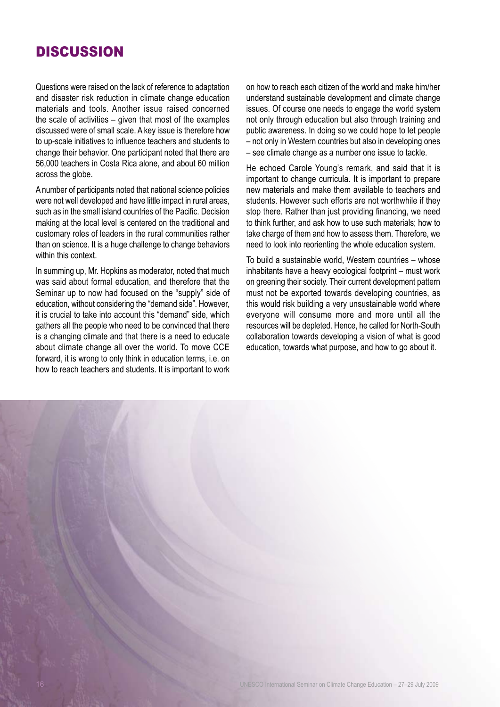## **DISCUSSION**

Questions were raised on the lack of reference to adaptation and disaster risk reduction in climate change education materials and tools. Another issue raised concerned the scale of activities – given that most of the examples discussed were of small scale. A key issue is therefore how to up-scale initiatives to influence teachers and students to change their behavior. One participant noted that there are 56,000 teachers in Costa Rica alone, and about 60 million across the globe.

A number of participants noted that national science policies were not well developed and have little impact in rural areas. such as in the small island countries of the Pacific. Decision making at the local level is centered on the traditional and customary roles of leaders in the rural communities rather than on science. It is a huge challenge to change behaviors within this context.

In summing up, Mr. Hopkins as moderator, noted that much was said about formal education, and therefore that the Seminar up to now had focused on the "supply" side of education, without considering the "demand side". However, it is crucial to take into account this "demand" side, which gathers all the people who need to be convinced that there is a changing climate and that there is a need to educate about climate change all over the world. To move CCE forward, it is wrong to only think in education terms, i.e. on how to reach teachers and students. It is important to work

on how to reach each citizen of the world and make him/her understand sustainable development and climate change issues. Of course one needs to engage the world system not only through education but also through training and public awareness. In doing so we could hope to let people – not only in Western countries but also in developing ones – see climate change as a number one issue to tackle.

He echoed Carole Young's remark, and said that it is important to change curricula. It is important to prepare new materials and make them available to teachers and students. However such efforts are not worthwhile if they stop there. Rather than just providing financing, we need to think further, and ask how to use such materials; how to take charge of them and how to assess them. Therefore, we need to look into reorienting the whole education system.

To build a sustainable world, Western countries – whose inhabitants have a heavy ecological footprint – must work on greening their society. Their current development pattern must not be exported towards developing countries, as this would risk building a very unsustainable world where everyone will consume more and more until all the resources will be depleted. Hence, he called for North-South collaboration towards developing a vision of what is good education, towards what purpose, and how to go about it.

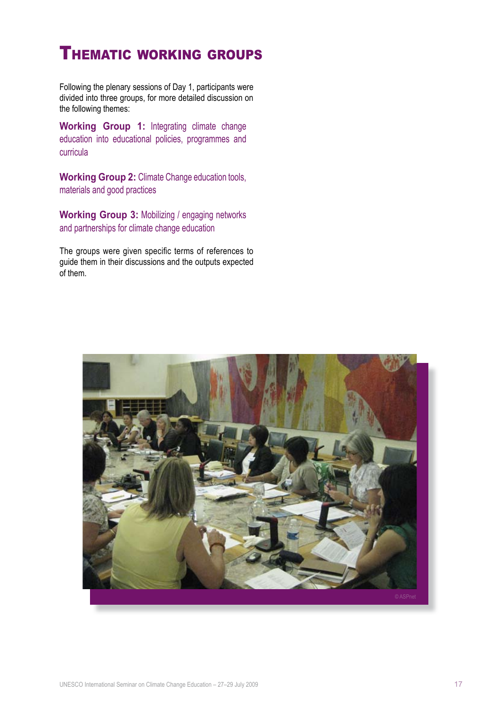# **THEMATIC WORKING GROUPS**

Following the plenary sessions of Day 1, participants were divided into three groups, for more detailed discussion on the following themes:

**Working Group 1:** Integrating climate change education into educational policies, programmes and curricula

**Working Group 2:** Climate Change education tools, materials and good practices

**Working Group 3:** Mobilizing / engaging networks and partnerships for climate change education

The groups were given specific terms of references to guide them in their discussions and the outputs expected of them.

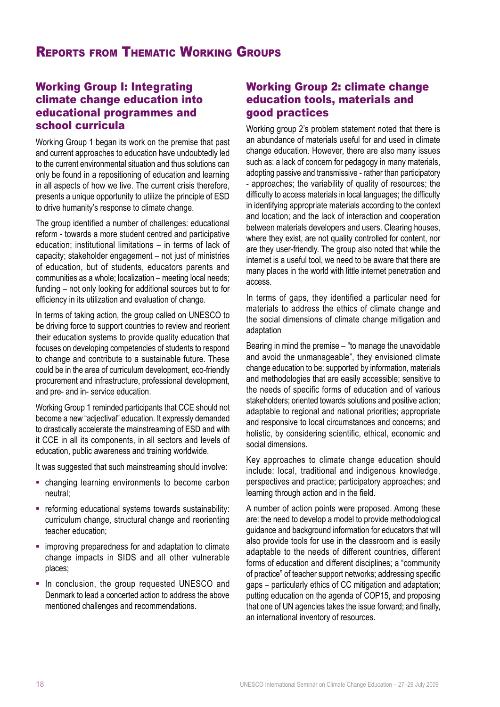#### Working Group I: Integrating climate change education into educational programmes and school curricula

Working Group 1 began its work on the premise that past and current approaches to education have undoubtedly led to the current environmental situation and thus solutions can only be found in a repositioning of education and learning in all aspects of how we live. The current crisis therefore, presents a unique opportunity to utilize the principle of ESD to drive humanity's response to climate change.

The group identified a number of challenges: educational reform - towards a more student centred and participative education; institutional limitations – in terms of lack of capacity; stakeholder engagement – not just of ministries of education, but of students, educators parents and communities as a whole; localization – meeting local needs; funding – not only looking for additional sources but to for efficiency in its utilization and evaluation of change.

In terms of taking action, the group called on UNESCO to be driving force to support countries to review and reorient their education systems to provide quality education that focuses on developing competencies of students to respond to change and contribute to a sustainable future. These could be in the area of curriculum development, eco-friendly procurement and infrastructure, professional development, and pre- and in- service education.

Working Group 1 reminded participants that CCE should not become a new "adjectival" education. It expressly demanded to drastically accelerate the mainstreaming of ESD and with it CCE in all its components, in all sectors and levels of education, public awareness and training worldwide.

It was suggested that such mainstreaming should involve:

- changing learning environments to become carbon neutral;
- **F** reforming educational systems towards sustainability: curriculum change, structural change and reorienting teacher education;
- **·** improving preparedness for and adaptation to climate change impacts in SIDS and all other vulnerable places;
- **In conclusion, the group requested UNESCO and** Denmark to lead a concerted action to address the above mentioned challenges and recommendations.

#### Working Group 2: climate change education tools, materials and good practices

Working group 2's problem statement noted that there is an abundance of materials useful for and used in climate change education. However, there are also many issues such as: a lack of concern for pedagogy in many materials, adopting passive and transmissive - rather than participatory - approaches; the variability of quality of resources; the difficulty to access materials in local languages; the difficulty in identifying appropriate materials according to the context and location; and the lack of interaction and cooperation between materials developers and users. Clearing houses, where they exist, are not quality controlled for content, nor are they user-friendly. The group also noted that while the internet is a useful tool, we need to be aware that there are many places in the world with little internet penetration and access.

In terms of gaps, they identified a particular need for materials to address the ethics of climate change and the social dimensions of climate change mitigation and adaptation

Bearing in mind the premise – "to manage the unavoidable and avoid the unmanageable", they envisioned climate change education to be: supported by information, materials and methodologies that are easily accessible; sensitive to the needs of specific forms of education and of various stakeholders; oriented towards solutions and positive action; adaptable to regional and national priorities; appropriate and responsive to local circumstances and concerns; and holistic, by considering scientific, ethical, economic and social dimensions.

Key approaches to climate change education should include: local, traditional and indigenous knowledge, perspectives and practice; participatory approaches; and learning through action and in the field.

A number of action points were proposed. Among these are: the need to develop a model to provide methodological guidance and background information for educators that will also provide tools for use in the classroom and is easily adaptable to the needs of different countries, different forms of education and different disciplines; a "community of practice" of teacher support networks; addressing specific gaps – particularly ethics of CC mitigation and adaptation; putting education on the agenda of COP15, and proposing that one of UN agencies takes the issue forward; and finally, an international inventory of resources.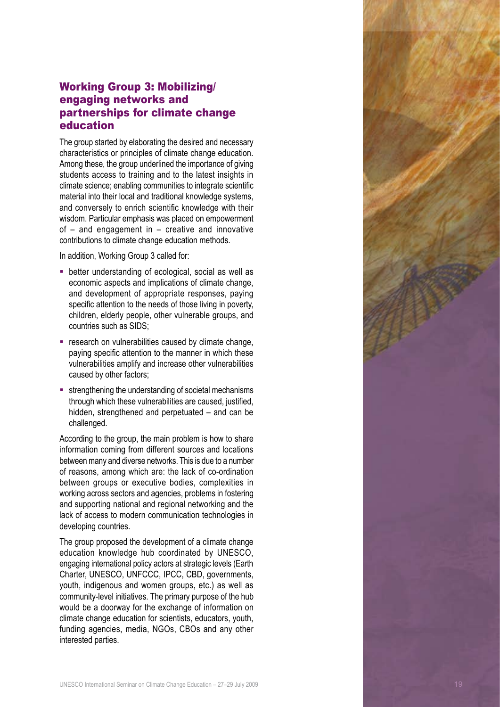#### Working Group 3: Mobilizing/ engaging networks and partnerships for climate change education

The group started by elaborating the desired and necessary characteristics or principles of climate change education. Among these, the group underlined the importance of giving students access to training and to the latest insights in climate science; enabling communities to integrate scientific material into their local and traditional knowledge systems, and conversely to enrich scientific knowledge with their wisdom. Particular emphasis was placed on empowerment of – and engagement in – creative and innovative contributions to climate change education methods.

In addition, Working Group 3 called for:

- better understanding of ecological, social as well as economic aspects and implications of climate change, and development of appropriate responses, paying specific attention to the needs of those living in poverty, children, elderly people, other vulnerable groups, and countries such as SIDS;
- **F** research on vulnerabilities caused by climate change, paying specific attention to the manner in which these vulnerabilities amplify and increase other vulnerabilities caused by other factors;
- strengthening the understanding of societal mechanisms through which these vulnerabilities are caused, justified, hidden, strengthened and perpetuated – and can be challenged.

According to the group, the main problem is how to share information coming from different sources and locations between many and diverse networks. This is due to a number of reasons, among which are: the lack of co-ordination between groups or executive bodies, complexities in working across sectors and agencies, problems in fostering and supporting national and regional networking and the lack of access to modern communication technologies in developing countries.

The group proposed the development of a climate change education knowledge hub coordinated by UNESCO, engaging international policy actors at strategic levels (Earth Charter, UNESCO, UNFCCC, IPCC, CBD, governments, youth, indigenous and women groups, etc.) as well as community-level initiatives. The primary purpose of the hub would be a doorway for the exchange of information on climate change education for scientists, educators, youth, funding agencies, media, NGOs, CBOs and any other interested parties.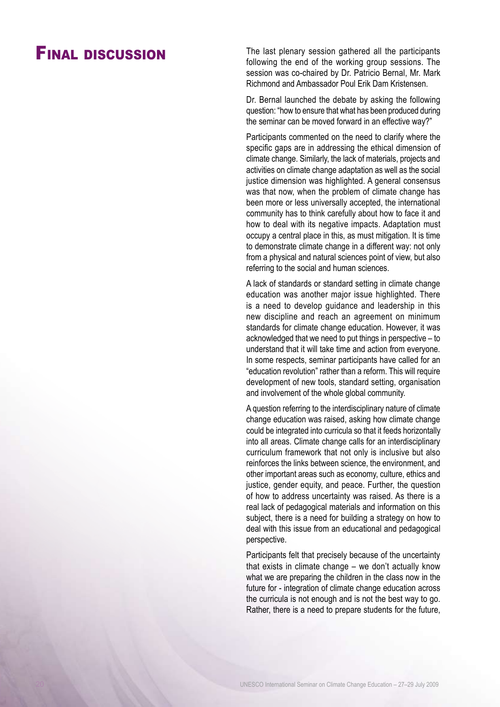**FINAL DISCUSSION** The last plenary session gathered all the participants following the end of the working group sessions. The session was co-chaired by Dr. Patricio Bernal, Mr. Mark Richmond and Ambassador Poul Erik Dam Kristensen.

> Dr. Bernal launched the debate by asking the following question: "how to ensure that what has been produced during the seminar can be moved forward in an effective way?"

> Participants commented on the need to clarify where the specific gaps are in addressing the ethical dimension of climate change. Similarly, the lack of materials, projects and activities on climate change adaptation as well as the social justice dimension was highlighted. A general consensus was that now, when the problem of climate change has been more or less universally accepted, the international community has to think carefully about how to face it and how to deal with its negative impacts. Adaptation must occupy a central place in this, as must mitigation. It is time to demonstrate climate change in a different way: not only from a physical and natural sciences point of view, but also referring to the social and human sciences.

> A lack of standards or standard setting in climate change education was another major issue highlighted. There is a need to develop guidance and leadership in this new discipline and reach an agreement on minimum standards for climate change education. However, it was acknowledged that we need to put things in perspective – to understand that it will take time and action from everyone. In some respects, seminar participants have called for an "education revolution" rather than a reform. This will require development of new tools, standard setting, organisation and involvement of the whole global community.

> A question referring to the interdisciplinary nature of climate change education was raised, asking how climate change could be integrated into curricula so that it feeds horizontally into all areas. Climate change calls for an interdisciplinary curriculum framework that not only is inclusive but also reinforces the links between science, the environment, and other important areas such as economy, culture, ethics and justice, gender equity, and peace. Further, the question of how to address uncertainty was raised. As there is a real lack of pedagogical materials and information on this subject, there is a need for building a strategy on how to deal with this issue from an educational and pedagogical perspective.

> Participants felt that precisely because of the uncertainty that exists in climate change – we don't actually know what we are preparing the children in the class now in the future for - integration of climate change education across the curricula is not enough and is not the best way to go. Rather, there is a need to prepare students for the future,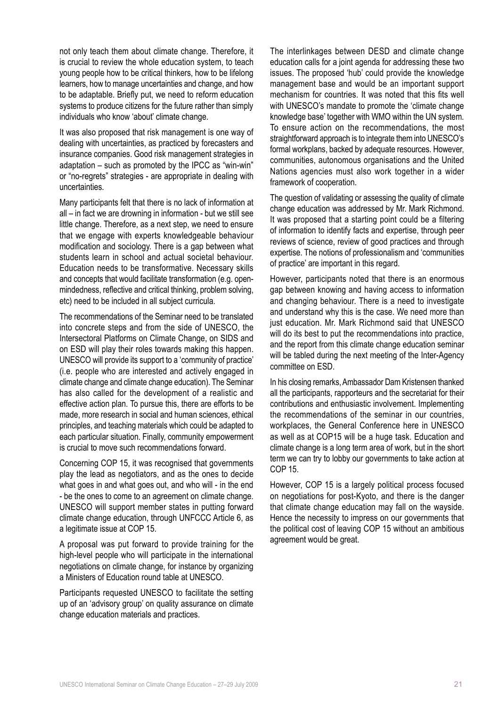not only teach them about climate change. Therefore, it is crucial to review the whole education system, to teach young people how to be critical thinkers, how to be lifelong learners, how to manage uncertainties and change, and how to be adaptable. Briefly put, we need to reform education systems to produce citizens for the future rather than simply individuals who know 'about' climate change.

It was also proposed that risk management is one way of dealing with uncertainties, as practiced by forecasters and insurance companies. Good risk management strategies in adaptation – such as promoted by the IPCC as "win-win" or "no-regrets" strategies - are appropriate in dealing with uncertainties.

Many participants felt that there is no lack of information at all – in fact we are drowning in information - but we still see little change. Therefore, as a next step, we need to ensure that we engage with experts knowledgeable behaviour modification and sociology. There is a gap between what students learn in school and actual societal behaviour. Education needs to be transformative. Necessary skills and concepts that would facilitate transformation (e.g. openmindedness, reflective and critical thinking, problem solving, etc) need to be included in all subject curricula.

The recommendations of the Seminar need to be translated into concrete steps and from the side of UNESCO, the Intersectoral Platforms on Climate Change, on SIDS and on ESD will play their roles towards making this happen. UNESCO will provide its support to a 'community of practice' (i.e. people who are interested and actively engaged in climate change and climate change education). The Seminar has also called for the development of a realistic and effective action plan. To pursue this, there are efforts to be made, more research in social and human sciences, ethical principles, and teaching materials which could be adapted to each particular situation. Finally, community empowerment is crucial to move such recommendations forward.

Concerning COP 15, it was recognised that governments play the lead as negotiators, and as the ones to decide what goes in and what goes out, and who will - in the end - be the ones to come to an agreement on climate change. UNESCO will support member states in putting forward climate change education, through UNFCCC Article 6, as a legitimate issue at COP 15.

A proposal was put forward to provide training for the high-level people who will participate in the international negotiations on climate change, for instance by organizing a Ministers of Education round table at UNESCO.

Participants requested UNESCO to facilitate the setting up of an 'advisory group' on quality assurance on climate change education materials and practices.

The interlinkages between DESD and climate change education calls for a joint agenda for addressing these two issues. The proposed 'hub' could provide the knowledge management base and would be an important support mechanism for countries. It was noted that this fits well with UNESCO's mandate to promote the 'climate change knowledge base' together with WMO within the UN system. To ensure action on the recommendations, the most straightforward approach is to integrate them into UNESCO's formal workplans, backed by adequate resources. However, communities, autonomous organisations and the United Nations agencies must also work together in a wider framework of cooperation.

The question of validating or assessing the quality of climate change education was addressed by Mr. Mark Richmond. It was proposed that a starting point could be a filtering of information to identify facts and expertise, through peer reviews of science, review of good practices and through expertise. The notions of professionalism and 'communities of practice' are important in this regard.

However, participants noted that there is an enormous gap between knowing and having access to information and changing behaviour. There is a need to investigate and understand why this is the case. We need more than just education. Mr. Mark Richmond said that UNESCO will do its best to put the recommendations into practice, and the report from this climate change education seminar will be tabled during the next meeting of the Inter-Agency committee on ESD.

In his closing remarks, Ambassador Dam Kristensen thanked all the participants, rapporteurs and the secretariat for their contributions and enthusiastic involvement. Implementing the recommendations of the seminar in our countries, workplaces, the General Conference here in UNESCO as well as at COP15 will be a huge task. Education and climate change is a long term area of work, but in the short term we can try to lobby our governments to take action at COP 15.

However, COP 15 is a largely political process focused on negotiations for post-Kyoto, and there is the danger that climate change education may fall on the wayside. Hence the necessity to impress on our governments that the political cost of leaving COP 15 without an ambitious agreement would be great.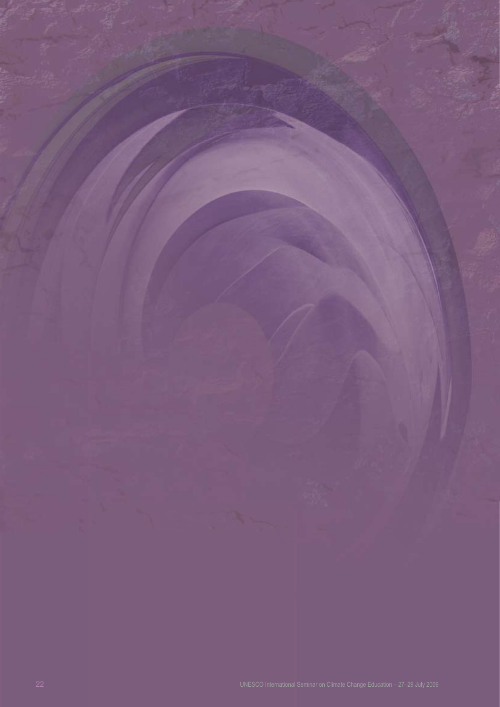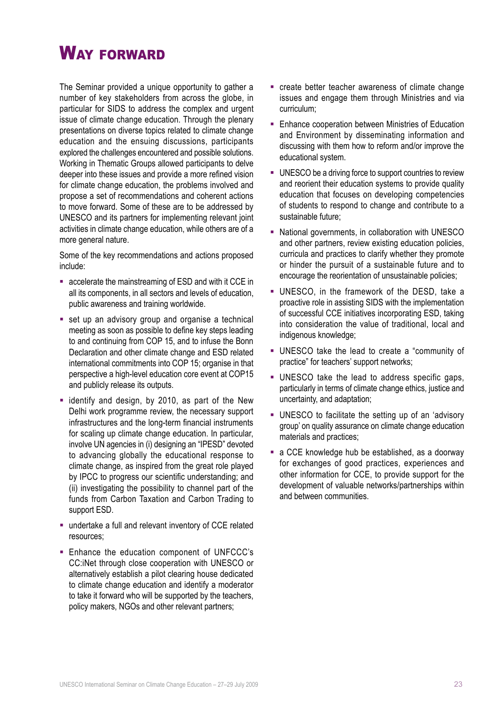# WAY FORWARD

The Seminar provided a unique opportunity to gather a number of key stakeholders from across the globe, in particular for SIDS to address the complex and urgent issue of climate change education. Through the plenary presentations on diverse topics related to climate change education and the ensuing discussions, participants explored the challenges encountered and possible solutions. Working in Thematic Groups allowed participants to delve deeper into these issues and provide a more refined vision for climate change education, the problems involved and propose a set of recommendations and coherent actions to move forward. Some of these are to be addressed by UNESCO and its partners for implementing relevant joint activities in climate change education, while others are of a more general nature.

Some of the key recommendations and actions proposed include:

- accelerate the mainstreaming of ESD and with it CCE in all its components, in all sectors and levels of education, public awareness and training worldwide.
- set up an advisory group and organise a technical meeting as soon as possible to define key steps leading to and continuing from COP 15, and to infuse the Bonn Declaration and other climate change and ESD related international commitments into COP 15; organise in that perspective a high-level education core event at COP15 and publicly release its outputs.
- **Example 1** identify and design, by 2010, as part of the New Delhi work programme review, the necessary support infrastructures and the long-term financial instruments for scaling up climate change education. In particular, involve UN agencies in (i) designing an "IPESD" devoted to advancing globally the educational response to climate change, as inspired from the great role played by IPCC to progress our scientific understanding; and (ii) investigating the possibility to channel part of the funds from Carbon Taxation and Carbon Trading to support ESD.
- undertake a full and relevant inventory of CCE related resources;
- **Enhance the education component of UNFCCC's** CC:iNet through close cooperation with UNESCO or alternatively establish a pilot clearing house dedicated to climate change education and identify a moderator to take it forward who will be supported by the teachers, policy makers, NGOs and other relevant partners;
- create better teacher awareness of climate change issues and engage them through Ministries and via curriculum;
- **Enhance cooperation between Ministries of Education** and Environment by disseminating information and discussing with them how to reform and/or improve the educational system.
- UNESCO be a driving force to support countries to review and reorient their education systems to provide quality education that focuses on developing competencies of students to respond to change and contribute to a sustainable future;
- National governments, in collaboration with UNESCO and other partners, review existing education policies, curricula and practices to clarify whether they promote or hinder the pursuit of a sustainable future and to encourage the reorientation of unsustainable policies;
- UNESCO, in the framework of the DESD, take a proactive role in assisting SIDS with the implementation of successful CCE initiatives incorporating ESD, taking into consideration the value of traditional, local and indigenous knowledge;
- UNESCO take the lead to create a "community of practice" for teachers' support networks;
- UNESCO take the lead to address specific gaps, particularly in terms of climate change ethics, justice and uncertainty, and adaptation;
- UNESCO to facilitate the setting up of an 'advisory group' on quality assurance on climate change education materials and practices;
- a CCE knowledge hub be established, as a doorway for exchanges of good practices, experiences and other information for CCE, to provide support for the development of valuable networks/partnerships within and between communities.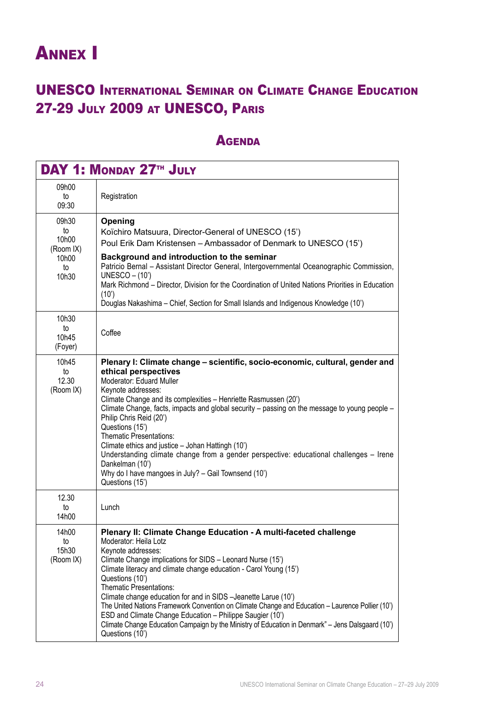# Annex I

# UNESCO International Seminar on Climate Change Education 27-29 July 2009 at UNESCO, Paris

#### **AGENDA**

| <b>DAY 1: MONDAY 27TH JULY</b>                            |                                                                                                                                                                                                                                                                                                                                                                                                                                                                                                                                                                                                                                                             |  |
|-----------------------------------------------------------|-------------------------------------------------------------------------------------------------------------------------------------------------------------------------------------------------------------------------------------------------------------------------------------------------------------------------------------------------------------------------------------------------------------------------------------------------------------------------------------------------------------------------------------------------------------------------------------------------------------------------------------------------------------|--|
| 09h00<br>to<br>09:30                                      | Registration                                                                                                                                                                                                                                                                                                                                                                                                                                                                                                                                                                                                                                                |  |
| 09h30<br>to<br>10h00<br>(Room IX)<br>10h00<br>to<br>10h30 | Opening<br>Koïchiro Matsuura, Director-General of UNESCO (15')<br>Poul Erik Dam Kristensen - Ambassador of Denmark to UNESCO (15')<br>Background and introduction to the seminar<br>Patricio Bernal - Assistant Director General, Intergovernmental Oceanographic Commission,<br>$UNESCO - (10)$<br>Mark Richmond - Director, Division for the Coordination of United Nations Priorities in Education<br>(10')<br>Douglas Nakashima - Chief, Section for Small Islands and Indigenous Knowledge (10')                                                                                                                                                       |  |
| 10h30<br>to<br>10h45<br>(Foyer)                           | Coffee                                                                                                                                                                                                                                                                                                                                                                                                                                                                                                                                                                                                                                                      |  |
| 10h45<br>to<br>12.30<br>(Room IX)                         | Plenary I: Climate change – scientific, socio-economic, cultural, gender and<br>ethical perspectives<br>Moderator: Eduard Muller<br>Keynote addresses:<br>Climate Change and its complexities - Henriette Rasmussen (20')<br>Climate Change, facts, impacts and global security - passing on the message to young people -<br>Philip Chris Reid (20')<br>Questions (15')<br>Thematic Presentations:<br>Climate ethics and justice - Johan Hattingh (10')<br>Understanding climate change from a gender perspective: educational challenges - Irene<br>Dankelman (10')<br>Why do I have mangoes in July? - Gail Townsend (10')<br>Questions (15')            |  |
| 12.30<br>to<br>14h00                                      | Lunch                                                                                                                                                                                                                                                                                                                                                                                                                                                                                                                                                                                                                                                       |  |
| 14h00<br>to<br>15h30<br>(Room IX)                         | Plenary II: Climate Change Education - A multi-faceted challenge<br>Moderator: Heila Lotz<br>Keynote addresses:<br>Climate Change implications for SIDS - Leonard Nurse (15')<br>Climate literacy and climate change education - Carol Young (15')<br>Questions (10')<br>Thematic Presentations:<br>Climate change education for and in SIDS -Jeanette Larue (10')<br>The United Nations Framework Convention on Climate Change and Education - Laurence Pollier (10')<br>ESD and Climate Change Education - Philippe Saugier (10')<br>Climate Change Education Campaign by the Ministry of Education in Denmark" - Jens Dalsgaard (10')<br>Questions (10') |  |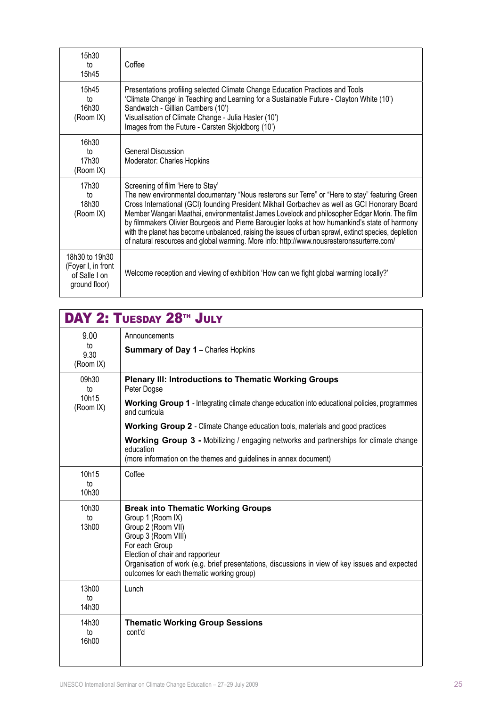| 15h30<br>to<br>15h45                                                   | Coffee                                                                                                                                                                                                                                                                                                                                                                                                                                                                                                                                                                                                                                      |
|------------------------------------------------------------------------|---------------------------------------------------------------------------------------------------------------------------------------------------------------------------------------------------------------------------------------------------------------------------------------------------------------------------------------------------------------------------------------------------------------------------------------------------------------------------------------------------------------------------------------------------------------------------------------------------------------------------------------------|
| 15h45<br>to<br>16h30<br>(Room IX)                                      | Presentations profiling selected Climate Change Education Practices and Tools<br>'Climate Change' in Teaching and Learning for a Sustainable Future - Clayton White (10')<br>Sandwatch - Gillian Cambers (10')<br>Visualisation of Climate Change - Julia Hasler (10')<br>Images from the Future - Carsten Skjoldborg (10')                                                                                                                                                                                                                                                                                                                 |
| 16h30<br>to<br>17h30<br>(Room IX)                                      | <b>General Discussion</b><br>Moderator: Charles Hopkins                                                                                                                                                                                                                                                                                                                                                                                                                                                                                                                                                                                     |
| 17h30<br>to<br>18h30<br>(Room IX)                                      | Screening of film 'Here to Stay'<br>The new environmental documentary "Nous resterons sur Terre" or "Here to stay" featuring Green<br>Cross International (GCI) founding President Mikhail Gorbachev as well as GCI Honorary Board<br>Member Wangari Maathai, environmentalist James Lovelock and philosopher Edgar Morin. The film<br>by filmmakers Olivier Bourgeois and Pierre Barougier looks at how humankind's state of harmony<br>with the planet has become unbalanced, raising the issues of urban sprawl, extinct species, depletion<br>of natural resources and global warming. More info: http://www.nousresteronssurterre.com/ |
| 18h30 to 19h30<br>(Foyer I, in front<br>of Salle I on<br>ground floor) | Welcome reception and viewing of exhibition 'How can we fight global warming locally?'                                                                                                                                                                                                                                                                                                                                                                                                                                                                                                                                                      |

| DAY 2: TUESDAY 28TH JULY          |                                                                                                                                                                                                                                                                                                                  |  |
|-----------------------------------|------------------------------------------------------------------------------------------------------------------------------------------------------------------------------------------------------------------------------------------------------------------------------------------------------------------|--|
| 9.00<br>to<br>9.30<br>(Room IX)   | Announcements<br><b>Summary of Day 1 - Charles Hopkins</b>                                                                                                                                                                                                                                                       |  |
| 09h30<br>to<br>10h15<br>(Room IX) | <b>Plenary III: Introductions to Thematic Working Groups</b><br>Peter Dogse                                                                                                                                                                                                                                      |  |
|                                   | Working Group 1 - Integrating climate change education into educational policies, programmes<br>and curricula                                                                                                                                                                                                    |  |
|                                   | Working Group 2 - Climate Change education tools, materials and good practices                                                                                                                                                                                                                                   |  |
|                                   | <b>Working Group 3 - Mobilizing / engaging networks and partnerships for climate change</b><br>education                                                                                                                                                                                                         |  |
|                                   | (more information on the themes and guidelines in annex document)                                                                                                                                                                                                                                                |  |
| 10h15<br>to<br>10h30              | Coffee                                                                                                                                                                                                                                                                                                           |  |
| 10h30<br>to<br>13h00              | <b>Break into Thematic Working Groups</b><br>Group 1 (Room IX)<br>Group 2 (Room VII)<br>Group 3 (Room VIII)<br>For each Group<br>Election of chair and rapporteur<br>Organisation of work (e.g. brief presentations, discussions in view of key issues and expected<br>outcomes for each thematic working group) |  |
| 13h00<br>to<br>14h30              | Lunch                                                                                                                                                                                                                                                                                                            |  |
| 14h30<br>to<br>16h00              | <b>Thematic Working Group Sessions</b><br>cont'd                                                                                                                                                                                                                                                                 |  |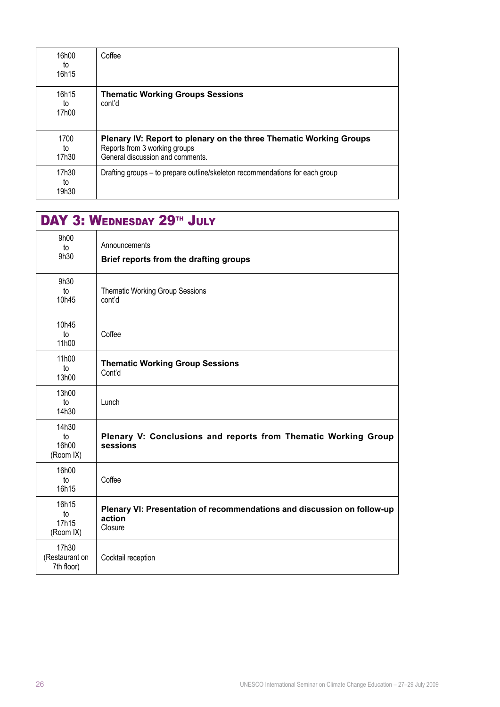| 16h00<br>to<br>16h15 | Coffee                                                                                                                                  |
|----------------------|-----------------------------------------------------------------------------------------------------------------------------------------|
| 16h15<br>to<br>17h00 | <b>Thematic Working Groups Sessions</b><br>cont'd                                                                                       |
| 1700<br>to<br>17h30  | Plenary IV: Report to plenary on the three Thematic Working Groups<br>Reports from 3 working groups<br>General discussion and comments. |
| 17h30<br>to<br>19h30 | Drafting groups – to prepare outline/skeleton recommendations for each group                                                            |

#### DAY 3: WEDNESDAY 29TH JULY 9h00 to 9h30 Announcements **Brief reports from the drafting groups** 9h30 to 10h45 Thematic Working Group Sessions cont'd 10h45 to 11h00 Coffee 11h00 to 13h00 **Thematic Working Group Sessions** Cont'd 13h00 to 14h30 Lunch 14h30 to 16h00 (Room IX) **Plenary V: Conclusions and reports from Thematic Working Group sessions** 16h00 to 16h15 Coffee 16h15 to 17h15 (Room IX) **Plenary VI: Presentation of recommendations and discussion on follow-up action** Closure 17h30 (Restaurant on Cocktail reception

7th floor)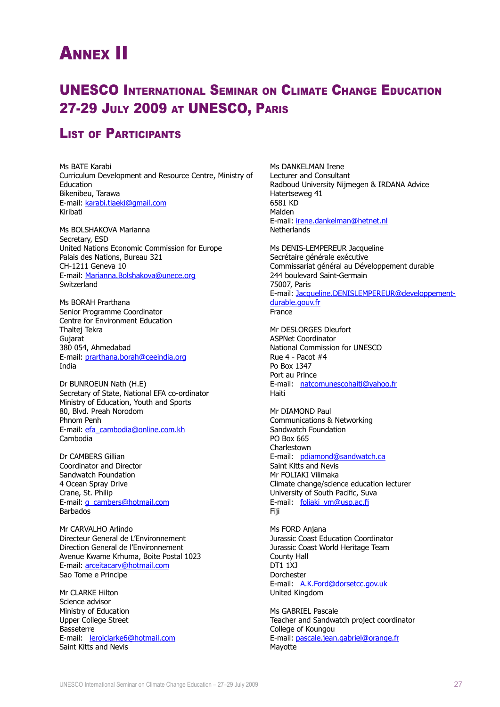# Annex II

# UNESCO International Seminar on Climate Change Education 27-29 JULY 2009 AT UNESCO, PARIS

### List of Participants

Ms BATE Karabi Curriculum Development and Resource Centre, Ministry of Education Bikenibeu, Tarawa E-mail: karabi.tiaeki@gmail.com Kiribati

Ms BOLSHAKOVA Marianna Secretary, ESD United Nations Economic Commission for Europe Palais des Nations, Bureau 321 CH-1211 Geneva 10 E-mail: Marianna.Bolshakova@unece.org **Switzerland** 

Ms BORAH Prarthana Senior Programme Coordinator Centre for Environment Education Thaltej Tekra Gujarat 380 054, Ahmedabad E-mail: prarthana.borah@ceeindia.org India

Dr BUNROEUN Nath (H.E) Secretary of State, National EFA co-ordinator Ministry of Education, Youth and Sports 80, Blvd. Preah Norodom Phnom Penh E-mail: efa\_cambodia@online.com.kh Cambodia

Dr CAMBERS Gillian Coordinator and Director Sandwatch Foundation 4 Ocean Spray Drive Crane, St. Philip E-mail: g\_cambers@hotmail.com Barbados

Mr CARVALHO Arlindo Directeur General de L'Environnement Direction General de l'Environnement Avenue Kwame Krhuma, Boite Postal 1023 E-mail: arceitacarv@hotmail.com Sao Tome e Principe

Mr CLARKE Hilton Science advisor Ministry of Education Upper College Street Basseterre E-mail: leroiclarke6@hotmail.com Saint Kitts and Nevis

Ms DANKELMAN Irene Lecturer and Consultant Radboud University Nijmegen & IRDANA Advice Hatertseweg 41 6581 KD Malden E-mail: irene.dankelman@hetnet.nl **Netherlands** 

Ms DENIS-LEMPEREUR Jacqueline Secrétaire générale exécutive Commissariat général au Développement durable 244 boulevard Saint-Germain 75007, Paris E-mail: Jacqueline.DENISLEMPEREUR@developpementdurable.gouv.fr France

Mr DESLORGES Dieufort ASPNet Coordinator National Commission for UNESCO Rue 4 - Pacot #4 Po Box 1347 Port au Prince E-mail: natcomunescohaiti@yahoo.fr Haiti

Mr DIAMOND Paul Communications & Networking Sandwatch Foundation PO Box 665 Charlestown E-mail: pdiamond@sandwatch.ca Saint Kitts and Nevis Mr FOI TAKT Vilimaka Climate change/science education lecturer University of South Pacific, Suva E-mail: foliaki\_vm@usp.ac.fj Fiji

Ms FORD Anjana Jurassic Coast Education Coordinator Jurassic Coast World Heritage Team County Hall DT1 1XJ Dorchester E-mail: A.K.Ford@dorsetcc.gov.uk United Kingdom

Ms GABRIEL Pascale Teacher and Sandwatch project coordinator College of Koungou E-mail: pascale.jean.gabriel@orange.fr Mayotte<sup>'</sup>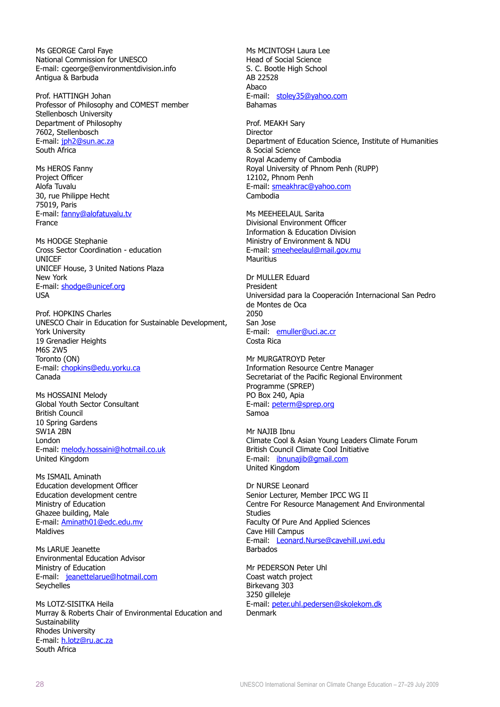Ms GEORGE Carol Faye National Commission for UNESCO E-mail: cgeorge@environmentdivision.info Antigua & Barbuda

Prof. HATTINGH Johan Professor of Philosophy and COMEST member Stellenbosch University Department of Philosophy 7602, Stellenbosch E-mail: jph2@sun.ac.za South Africa

Ms HEROS Fanny Project Officer Alofa Tuvalu 30, rue Philippe Hecht 75019, Paris E-mail: fanny@alofatuvalu.tv France

Ms HODGE Stephanie Cross Sector Coordination - education UNICEF UNICEF House, 3 United Nations Plaza New York E-mail: shodge@unicef.org USA

Prof. HOPKINS Charles UNESCO Chair in Education for Sustainable Development, York University 19 Grenadier Heights M6S 2W5 Toronto (ON) E-mail: chopkins@edu.yorku.ca Canada

Ms HOSSAINI Melody Global Youth Sector Consultant British Council 10 Spring Gardens SW1A 2BN London E-mail: melody.hossaini@hotmail.co.uk United Kingdom

Ms ISMAIL Aminath Education development Officer Education development centre Ministry of Education Ghazee building, Male E-mail: Aminath01@edc.edu.mv **Maldives** 

Ms LARUE Jeanette Environmental Education Advisor Ministry of Education E-mail: jeanettelarue@hotmail.com **Seychelles** 

Ms LOTZ-SISITKA Heila Murray & Roberts Chair of Environmental Education and **Sustainability** Rhodes University E-mail: h.lotz@ru.ac.za South Africa

Ms MCINTOSH Laura Lee Head of Social Science S. C. Bootle High School AB 22528 **Abaco** E-mail: stoley35@yahoo.com Bahamas

Prof. MEAKH Sary Director Department of Education Science, Institute of Humanities & Social Science Royal Academy of Cambodia Royal University of Phnom Penh (RUPP) 12102, Phnom Penh E-mail: smeakhrac@yahoo.com Cambodia

Ms MEEHEELAUL Sarita Divisional Environment Officer Information & Education Division Ministry of Environment & NDU E-mail: smeeheelaul@mail.gov.mu **Mauritius** 

Dr MULLER Eduard President Universidad para la Cooperación Internacional San Pedro de Montes de Oca 2050 San Jose E-mail: emuller@uci.ac.cr Costa Rica

Mr MURGATROYD Peter Information Resource Centre Manager Secretariat of the Pacific Regional Environment Programme (SPREP) PO Box 240, Apia E-mail: peterm@sprep.org Samoa

Mr NAJIB Ibnu Climate Cool & Asian Young Leaders Climate Forum British Council Climate Cool Initiative E-mail: ibnunajib@gmail.com United Kingdom

Dr NURSE Leonard Senior Lecturer, Member IPCC WG II Centre For Resource Management And Environmental Studies Faculty Of Pure And Applied Sciences Cave Hill Campus E-mail: Leonard.Nurse@cavehill.uwi.edu Barbados

Mr PEDERSON Peter Uhl Coast watch project Birkevang 303 3250 gilleleje E-mail: peter.uhl.pedersen@skolekom.dk Denmark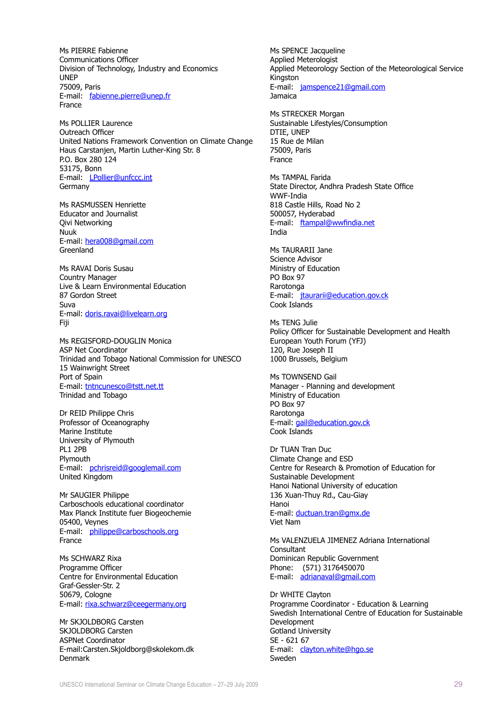Ms PIERRE Fabienne Communications Officer Division of Technology, Industry and Economics UNEP 75009, Paris E-mail: fabienne.pierre@unep.fr France

Ms POLLIER Laurence Outreach Officer United Nations Framework Convention on Climate Change Haus Carstanjen, Martin Luther-King Str. 8 P.O. Box 280 124 53175, Bonn E-mail: LPollier@unfccc.int Germany

Ms RASMUSSEN Henriette Educator and Journalist Qivi Networking Nuuk E-mail: hera008@gmail.com Greenland

Ms RAVAI Doris Susau Country Manager Live & Learn Environmental Education 87 Gordon Street Suva E-mail: doris.ravai@livelearn.org Fiji

Ms REGISFORD-DOUGLIN Monica ASP Net Coordinator Trinidad and Tobago National Commission for UNESCO 15 Wainwright Street Port of Spain E-mail: tntncunesco@tstt.net.tt Trinidad and Tobago

Dr REID Philippe Chris Professor of Oceanography Marine Institute University of Plymouth PL1 2PB Plymouth E-mail: pchrisreid@googlemail.com United Kingdom

Mr SAUGIER Philippe Carboschools educational coordinator Max Planck Institute fuer Biogeochemie 05400, Veynes E-mail: philippe@carboschools.org France

Ms SCHWARZ Rixa Programme Officer Centre for Environmental Education Graf-Gessler-Str. 2 50679, Cologne E-mail: rixa.schwarz@ceegermany.org

Mr SKJOLDBORG Carsten SKJOLDBORG Carsten ASPNet Coordinator E-mail:Carsten.Skjoldborg@skolekom.dk Denmark

Ms SPENCE Jacqueline Applied Meterologist Applied Meteorology Section of the Meteorological Service Kingston E-mail: jamspence21@gmail.com **Jamaica** 

Ms STRECKER Morgan Sustainable Lifestyles/Consumption DTIE, UNEP 15 Rue de Milan 75009, Paris France

Ms TAMPAL Farida State Director, Andhra Pradesh State Office WWF-India 818 Castle Hills, Road No 2 500057, Hyderabad E-mail: ftampal@wwfindia.net India

Ms TAURARII Jane Science Advisor Ministry of Education PO Box 97 Rarotonga E-mail: jtaurarii@education.gov.ck Cook Islands

Ms TENG Julie Policy Officer for Sustainable Development and Health European Youth Forum (YFJ) 120, Rue Joseph II 1000 Brussels, Belgium

Ms TOWNSEND Gail Manager - Planning and development Ministry of Education PO Box 97 Rarotonga E-mail: gail@education.gov.ck Cook Islands

Dr TUAN Tran Duc Climate Change and ESD Centre for Research & Promotion of Education for Sustainable Development Hanoi National University of education 136 Xuan-Thuy Rd., Cau-Giay Hanoi E-mail: ductuan.tran@gmx.de Viet Nam

Ms VALENZUELA JIMENEZ Adriana International Consultant Dominican Republic Government Phone: (571) 3176450070 E-mail: adrianaval@gmail.com

Dr WHITE Clayton Programme Coordinator - Education & Learning Swedish International Centre of Education for Sustainable Development Gotland University SE - 621 67 E-mail: clayton.white@hgo.se Sweden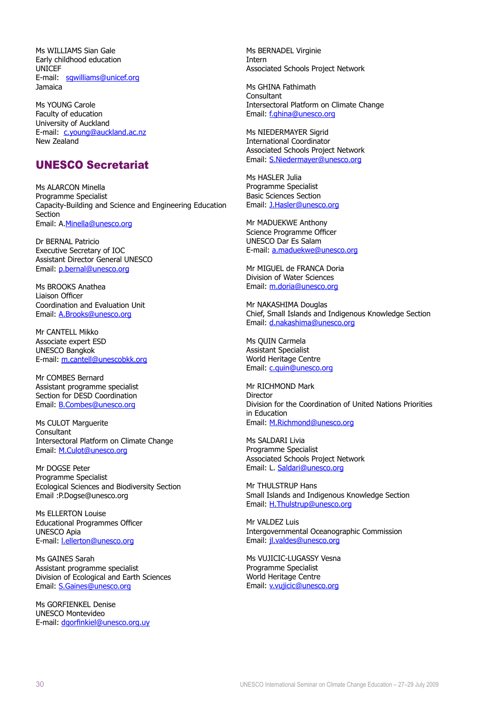Ms WILLIAMS Sian Gale Early childhood education UNICEF E-mail: sgwilliams@unicef.org Jamaica

Ms YOUNG Carole Faculty of education University of Auckland E-mail: c.young@auckland.ac.nz New Zealand

#### UNESCO Secretariat

Ms ALARCON Minella Programme Specialist Capacity-Building and Science and Engineering Education Section Email: A.Minella@unesco.org

Dr BERNAL Patricio Executive Secretary of IOC Assistant Director General UNESCO Email: p.bernal@unesco.org

Ms BROOKS Anathea Liaison Officer Coordination and Evaluation Unit Email: A.Brooks@unesco.org

Mr CANTELL Mikko Associate expert ESD UNESCO Bangkok E-mail: m.cantell@unescobkk.org

Mr COMBES Bernard Assistant programme specialist Section for DESD Coordination Email: B.Combes@unesco.org

Ms CULOT Marguerite **Consultant** Intersectoral Platform on Climate Change Email: M.Culot@unesco.org

Mr DOGSE Peter Programme Specialist Ecological Sciences and Biodiversity Section Email :P.Dogse@unesco.org

Ms ELLERTON Louise Educational Programmes Officer UNESCO Apia E-mail: l.ellerton@unesco.org

Ms GAINES Sarah Assistant programme specialist Division of Ecological and Earth Sciences Email: S.Gaines@unesco.org

Ms GORFIENKEL Denise UNESCO Montevideo E-mail: dgorfinkiel@unesco.org.uy Ms BERNADEL Virginie Intern Associated Schools Project Network

Ms GHINA Fathimath **Consultant** Intersectoral Platform on Climate Change Email: f.ghina@unesco.org

Ms NIEDERMAYER Sigrid International Coordinator Associated Schools Project Network Email: S.Niedermayer@unesco.org

Ms HASLER Julia Programme Specialist Basic Sciences Section Email: J.Hasler@unesco.org

Mr MADUEKWE Anthony Science Programme Officer UNESCO Dar Es Salam E-mail: a.maduekwe@unesco.org

Mr MIGUEL de FRANCA Doria Division of Water Sciences Email: m.doria@unesco.org

Mr NAKASHIMA Douglas Chief, Small Islands and Indigenous Knowledge Section Email: d.nakashima@unesco.org

Ms QUIN Carmela Assistant Specialist World Heritage Centre Email: c.quin@unesco.org

Mr RICHMOND Mark **Director** Division for the Coordination of United Nations Priorities in Education Email: M.Richmond@unesco.org

Ms SALDARI Livia Programme Specialist Associated Schools Project Network Email: L. Saldari@unesco.org

Mr THULSTRUP Hans Small Islands and Indigenous Knowledge Section Email: H.Thulstrup@unesco.org

Mr VALDEZ Luis Intergovernmental Oceanographic Commission Email: jl.valdes@unesco.org

Ms VUJICIC-LUGASSY Vesna Programme Specialist World Heritage Centre Email: v.vujicic@unesco.org